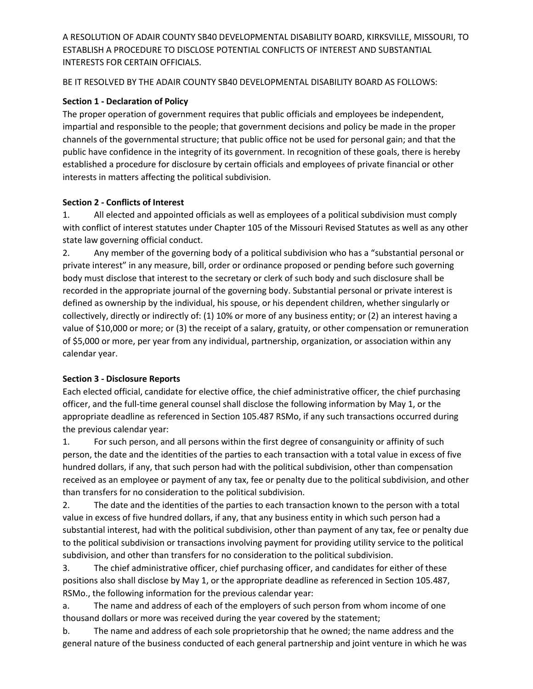A RESOLUTION OF ADAIR COUNTY SB40 DEVELOPMENTAL DISABILITY BOARD, KIRKSVILLE, MISSOURI, TO ESTABLISH A PROCEDURE TO DISCLOSE POTENTIAL CONFLICTS OF INTEREST AND SUBSTANTIAL INTERESTS FOR CERTAIN OFFICIALS.

BE IT RESOLVED BY THE ADAIR COUNTY SB40 DEVELOPMENTAL DISABILITY BOARD AS FOLLOWS:

## Section 1 - Declaration of Policy

The proper operation of government requires that public officials and employees be independent, impartial and responsible to the people; that government decisions and policy be made in the proper channels of the governmental structure; that public office not be used for personal gain; and that the public have confidence in the integrity of its government. In recognition of these goals, there is hereby established a procedure for disclosure by certain officials and employees of private financial or other interests in matters affecting the political subdivision.

### Section 2 - Conflicts of Interest

1. All elected and appointed officials as well as employees of a political subdivision must comply with conflict of interest statutes under Chapter 105 of the Missouri Revised Statutes as well as any other state law governing official conduct.

2. Any member of the governing body of a political subdivision who has a "substantial personal or private interest" in any measure, bill, order or ordinance proposed or pending before such governing body must disclose that interest to the secretary or clerk of such body and such disclosure shall be recorded in the appropriate journal of the governing body. Substantial personal or private interest is defined as ownership by the individual, his spouse, or his dependent children, whether singularly or collectively, directly or indirectly of: (1) 10% or more of any business entity; or (2) an interest having a value of \$10,000 or more; or (3) the receipt of a salary, gratuity, or other compensation or remuneration of \$5,000 or more, per year from any individual, partnership, organization, or association within any calendar year.

## Section 3 - Disclosure Reports

Each elected official, candidate for elective office, the chief administrative officer, the chief purchasing officer, and the full-time general counsel shall disclose the following information by May 1, or the appropriate deadline as referenced in Section 105.487 RSMo, if any such transactions occurred during the previous calendar year:

1. For such person, and all persons within the first degree of consanguinity or affinity of such person, the date and the identities of the parties to each transaction with a total value in excess of five hundred dollars, if any, that such person had with the political subdivision, other than compensation received as an employee or payment of any tax, fee or penalty due to the political subdivision, and other than transfers for no consideration to the political subdivision.

2. The date and the identities of the parties to each transaction known to the person with a total value in excess of five hundred dollars, if any, that any business entity in which such person had a substantial interest, had with the political subdivision, other than payment of any tax, fee or penalty due to the political subdivision or transactions involving payment for providing utility service to the political subdivision, and other than transfers for no consideration to the political subdivision.

3. The chief administrative officer, chief purchasing officer, and candidates for either of these positions also shall disclose by May 1, or the appropriate deadline as referenced in Section 105.487, RSMo., the following information for the previous calendar year:

a. The name and address of each of the employers of such person from whom income of one thousand dollars or more was received during the year covered by the statement;

b. The name and address of each sole proprietorship that he owned; the name address and the general nature of the business conducted of each general partnership and joint venture in which he was